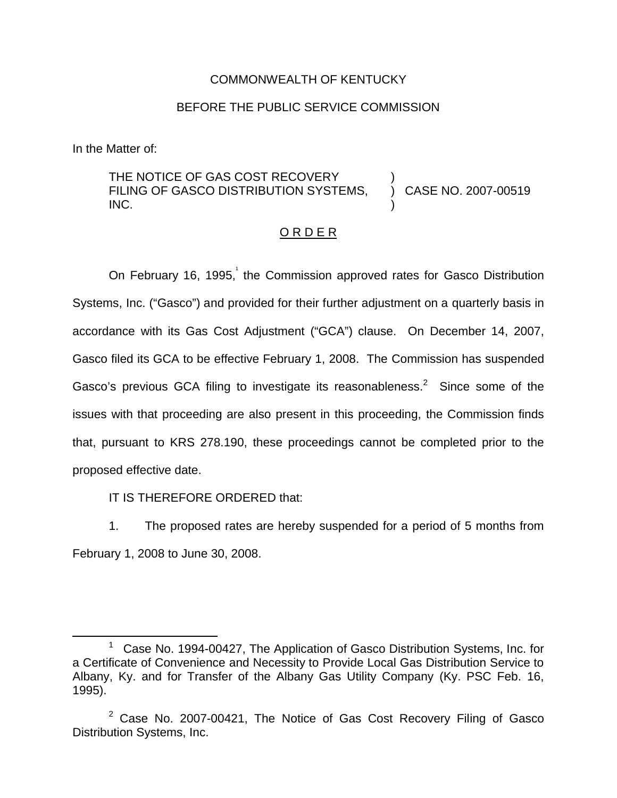## COMMONWEALTH OF KENTUCKY

## BEFORE THE PUBLIC SERVICE COMMISSION

In the Matter of:

## THE NOTICE OF GAS COST RECOVERY FILING OF GASCO DISTRIBUTION SYSTEMS, INC. ) ) CASE NO. 2007-00519 )

## O R D E R

On February 16, 1995, the Commission approved rates for Gasco Distribution Systems, Inc. ("Gasco") and provided for their further adjustment on a quarterly basis in accordance with its Gas Cost Adjustment ("GCA") clause. On December 14, 2007, Gasco filed its GCA to be effective February 1, 2008. The Commission has suspended Gasco's previous GCA filing to investigate its reasonableness.<sup>2</sup> Since some of the issues with that proceeding are also present in this proceeding, the Commission finds that, pursuant to KRS 278.190, these proceedings cannot be completed prior to the proposed effective date.

IT IS THEREFORE ORDERED that:

1. The proposed rates are hereby suspended for a period of 5 months from February 1, 2008 to June 30, 2008.

 $1$  Case No. 1994-00427, The Application of Gasco Distribution Systems, Inc. for a Certificate of Convenience and Necessity to Provide Local Gas Distribution Service to Albany, Ky. and for Transfer of the Albany Gas Utility Company (Ky. PSC Feb. 16, 1995).

 $2$  Case No. 2007-00421, The Notice of Gas Cost Recovery Filing of Gasco Distribution Systems, Inc.